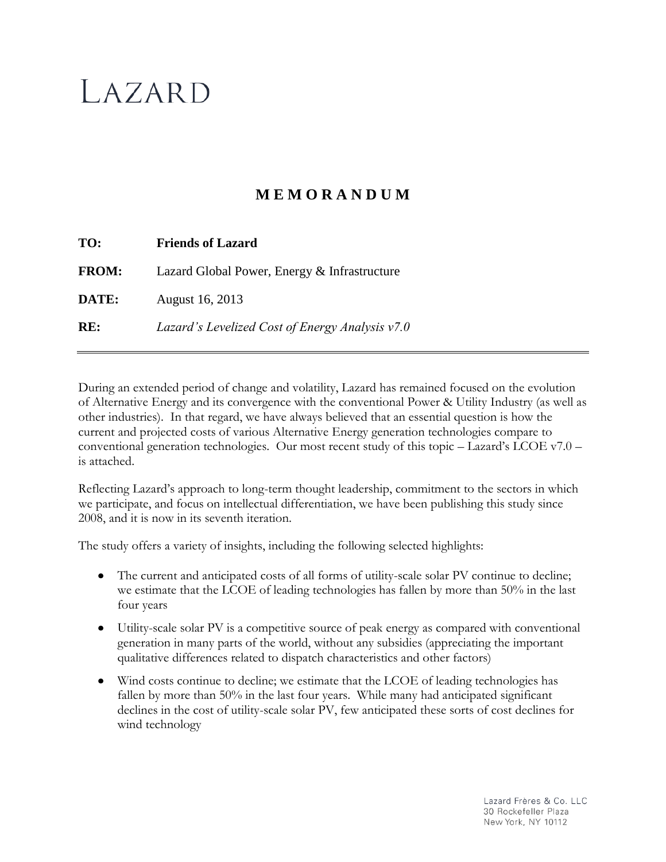# LAZARD

## **M E M O R A N D U M**

| TO:          | <b>Friends of Lazard</b>                        |
|--------------|-------------------------------------------------|
| <b>FROM:</b> | Lazard Global Power, Energy & Infrastructure    |
| DATE:        | August 16, 2013                                 |
| RE:          | Lazard's Levelized Cost of Energy Analysis v7.0 |

During an extended period of change and volatility, Lazard has remained focused on the evolution of Alternative Energy and its convergence with the conventional Power & Utility Industry (as well as other industries). In that regard, we have always believed that an essential question is how the current and projected costs of various Alternative Energy generation technologies compare to conventional generation technologies. Our most recent study of this topic – Lazard's LCOE v7.0 – is attached.

Reflecting Lazard's approach to long-term thought leadership, commitment to the sectors in which we participate, and focus on intellectual differentiation, we have been publishing this study since 2008, and it is now in its seventh iteration.

The study offers a variety of insights, including the following selected highlights:

- The current and anticipated costs of all forms of utility-scale solar PV continue to decline;  $\bullet$ we estimate that the LCOE of leading technologies has fallen by more than 50% in the last four years
- Utility-scale solar PV is a competitive source of peak energy as compared with conventional generation in many parts of the world, without any subsidies (appreciating the important qualitative differences related to dispatch characteristics and other factors)
- Wind costs continue to decline; we estimate that the LCOE of leading technologies has fallen by more than 50% in the last four years. While many had anticipated significant declines in the cost of utility-scale solar PV, few anticipated these sorts of cost declines for wind technology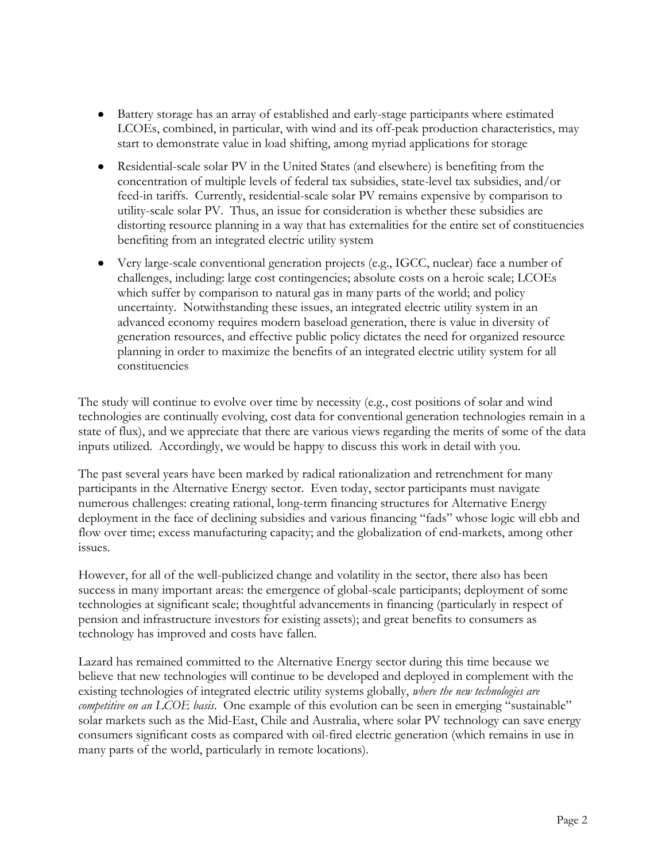- Battery storage has an array of established and early-stage participants where estimated LCOEs, combined, in particular, with wind and its off-peak production characteristics, may start to demonstrate value in load shifting, among myriad applications for storage
- Residential-scale solar PV in the United States (and elsewhere) is benefiting from the concentration of multiple levels of federal tax subsidies, state-level tax subsidies, and/or feed-in tariffs. Currently, residential-scale solar PV remains expensive by comparison to utility-scale solar PV. Thus, an issue for consideration is whether these subsidies are distorting resource planning in a way that has externalities for the entire set of constituencies benefiting from an integrated electric utility system
- Very large-scale conventional generation projects (e.g., IGCC, nuclear) face a number of challenges, including: large cost contingencies; absolute costs on a heroic scale; LCOEs which suffer by comparison to natural gas in many parts of the world; and policy uncertainty. Notwithstanding these issues, an integrated electric utility system in an advanced economy requires modern baseload generation, there is value in diversity of generation resources, and effective public policy dictates the need for organized resource planning in order to maximize the benefits of an integrated electric utility system for all constituencies

The study will continue to evolve over time by necessity (e.g., cost positions of solar and wind technologies are continually evolving, cost data for conventional generation technologies remain in a state of flux), and we appreciate that there are various views regarding the merits of some of the data inputs utilized. Accordingly, we would be happy to discuss this work in detail with you.

The past several years have been marked by radical rationalization and retrenchment for many participants in the Alternative Energy sector. Even today, sector participants must navigate numerous challenges: creating rational, long-term financing structures for Alternative Energy deployment in the face of declining subsidies and various financing "fads" whose logic will ebb and flow over time; excess manufacturing capacity; and the globalization of end-markets, among other issues.

However, for all of the well-publicized change and volatility in the sector, there also has been success in many important areas: the emergence of global-scale participants; deployment of some technologies at significant scale; thoughtful advancements in financing (particularly in respect of pension and infrastructure investors for existing assets); and great benefits to consumers as technology has improved and costs have fallen.

Lazard has remained committed to the Alternative Energy sector during this time because we believe that new technologies will continue to be developed and deployed in complement with the existing technologies of integrated electric utility systems globally, *where the new technologies are competitive on an LCOE basis*. One example of this evolution can be seen in emerging "sustainable" solar markets such as the Mid-East, Chile and Australia, where solar PV technology can save energy consumers significant costs as compared with oil-fired electric generation (which remains in use in many parts of the world, particularly in remote locations).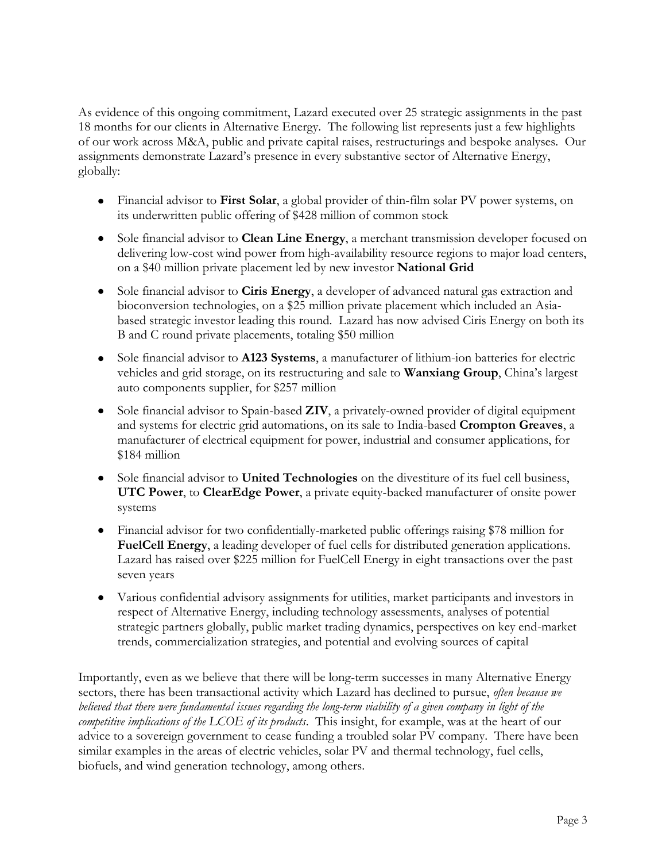As evidence of this ongoing commitment, Lazard executed over 25 strategic assignments in the past 18 months for our clients in Alternative Energy. The following list represents just a few highlights of our work across M&A, public and private capital raises, restructurings and bespoke analyses. Our assignments demonstrate Lazard's presence in every substantive sector of Alternative Energy, globally:

- Financial advisor to **First Solar**, a global provider of thin-film solar PV power systems, on its underwritten public offering of \$428 million of common stock
- Sole financial advisor to **Clean Line Energy**, a merchant transmission developer focused on delivering low-cost wind power from high-availability resource regions to major load centers, on a \$40 million private placement led by new investor **National Grid**
- Sole financial advisor to **Ciris Energy**, a developer of advanced natural gas extraction and bioconversion technologies, on a \$25 million private placement which included an Asiabased strategic investor leading this round. Lazard has now advised Ciris Energy on both its B and C round private placements, totaling \$50 million
- Sole financial advisor to **A123 Systems**, a manufacturer of lithium-ion batteries for electric vehicles and grid storage, on its restructuring and sale to **Wanxiang Group**, China's largest auto components supplier, for \$257 million
- Sole financial advisor to Spain-based **ZIV**, a privately-owned provider of digital equipment and systems for electric grid automations, on its sale to India-based **Crompton Greaves**, a manufacturer of electrical equipment for power, industrial and consumer applications, for \$184 million
- Sole financial advisor to **United Technologies** on the divestiture of its fuel cell business, **UTC Power**, to **ClearEdge Power**, a private equity-backed manufacturer of onsite power systems
- Financial advisor for two confidentially-marketed public offerings raising \$78 million for **FuelCell Energy**, a leading developer of fuel cells for distributed generation applications. Lazard has raised over \$225 million for FuelCell Energy in eight transactions over the past seven years
- Various confidential advisory assignments for utilities, market participants and investors in respect of Alternative Energy, including technology assessments, analyses of potential strategic partners globally, public market trading dynamics, perspectives on key end-market trends, commercialization strategies, and potential and evolving sources of capital

Importantly, even as we believe that there will be long-term successes in many Alternative Energy sectors, there has been transactional activity which Lazard has declined to pursue, *often because we believed that there were fundamental issues regarding the long-term viability of a given company in light of the competitive implications of the LCOE of its products*. This insight, for example, was at the heart of our advice to a sovereign government to cease funding a troubled solar PV company. There have been similar examples in the areas of electric vehicles, solar PV and thermal technology, fuel cells, biofuels, and wind generation technology, among others.